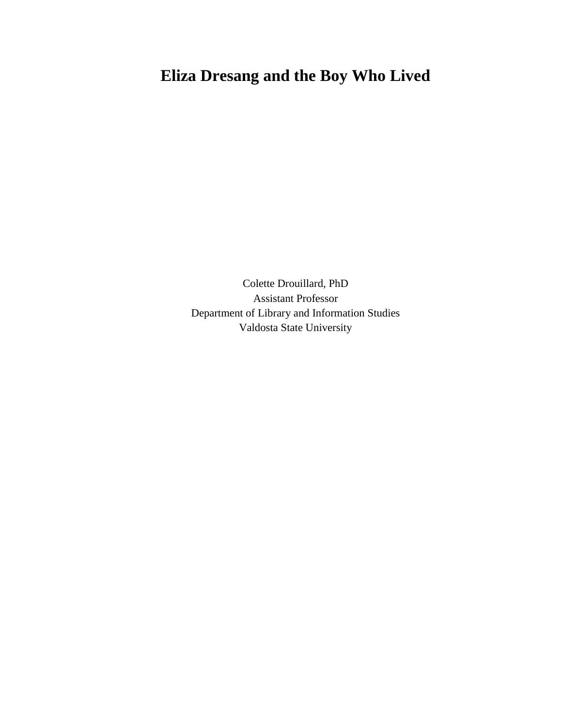## **Eliza Dresang and the Boy Who Lived**

Colette Drouillard, PhD Assistant Professor Department of Library and Information Studies Valdosta State University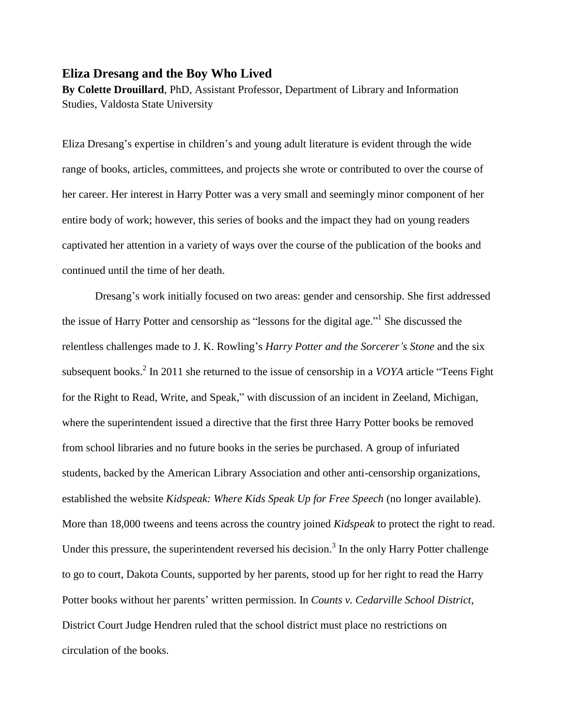## **Eliza Dresang and the Boy Who Lived**

**By Colette Drouillard**, PhD, Assistant Professor, Department of Library and Information Studies, Valdosta State University

Eliza Dresang's expertise in children's and young adult literature is evident through the wide range of books, articles, committees, and projects she wrote or contributed to over the course of her career. Her interest in Harry Potter was a very small and seemingly minor component of her entire body of work; however, this series of books and the impact they had on young readers captivated her attention in a variety of ways over the course of the publication of the books and continued until the time of her death.

Dresang's work initially focused on two areas: gender and censorship. She first addressed the issue of Harry Potter and censorship as "lessons for the digital age."<sup>1</sup> She discussed the relentless challenges made to J. K. Rowling's *Harry Potter and the Sorcerer's Stone* and the six subsequent books. 2 In 2011 she returned to the issue of censorship in a *VOYA* article "Teens Fight for the Right to Read, Write, and Speak," with discussion of an incident in Zeeland, Michigan, where the superintendent issued a directive that the first three Harry Potter books be removed from school libraries and no future books in the series be purchased. A group of infuriated students, backed by the American Library Association and other anti-censorship organizations, established the website *Kidspeak: Where Kids Speak Up for Free Speech* (no longer available). More than 18,000 tweens and teens across the country joined *Kidspeak* to protect the right to read. Under this pressure, the superintendent reversed his decision.<sup>3</sup> In the only Harry Potter challenge to go to court, Dakota Counts, supported by her parents, stood up for her right to read the Harry Potter books without her parents' written permission. In *Counts v. Cedarville School District*, District Court Judge Hendren ruled that the school district must place no restrictions on circulation of the books.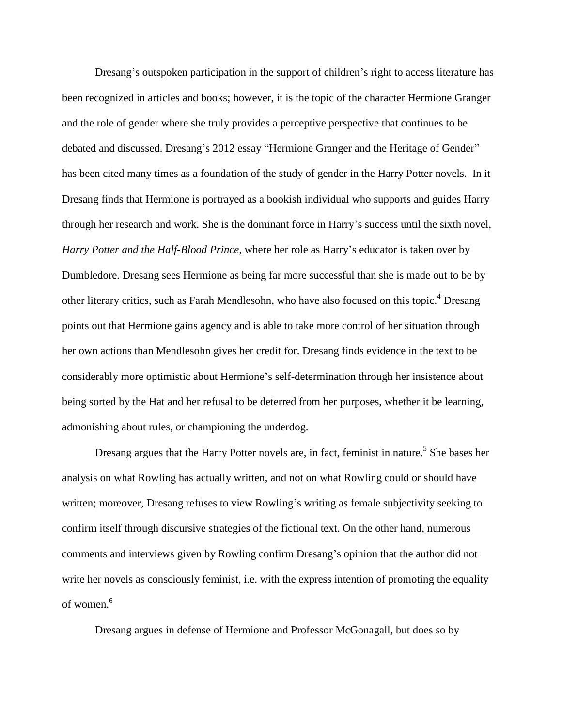Dresang's outspoken participation in the support of children's right to access literature has been recognized in articles and books; however, it is the topic of the character Hermione Granger and the role of gender where she truly provides a perceptive perspective that continues to be debated and discussed. Dresang's 2012 essay "Hermione Granger and the Heritage of Gender" has been cited many times as a foundation of the study of gender in the Harry Potter novels. In it Dresang finds that Hermione is portrayed as a bookish individual who supports and guides Harry through her research and work. She is the dominant force in Harry's success until the sixth novel, *Harry Potter and the Half-Blood Prince*, where her role as Harry's educator is taken over by Dumbledore. Dresang sees Hermione as being far more successful than she is made out to be by other literary critics, such as Farah Mendlesohn, who have also focused on this topic.<sup>4</sup> Dresang points out that Hermione gains agency and is able to take more control of her situation through her own actions than Mendlesohn gives her credit for. Dresang finds evidence in the text to be considerably more optimistic about Hermione's self-determination through her insistence about being sorted by the Hat and her refusal to be deterred from her purposes, whether it be learning, admonishing about rules, or championing the underdog.

Dresang argues that the Harry Potter novels are, in fact, feminist in nature.<sup>5</sup> She bases her analysis on what Rowling has actually written, and not on what Rowling could or should have written; moreover, Dresang refuses to view Rowling's writing as female subjectivity seeking to confirm itself through discursive strategies of the fictional text. On the other hand, numerous comments and interviews given by Rowling confirm Dresang's opinion that the author did not write her novels as consciously feminist, i.e. with the express intention of promoting the equality of women. 6

Dresang argues in defense of Hermione and Professor McGonagall, but does so by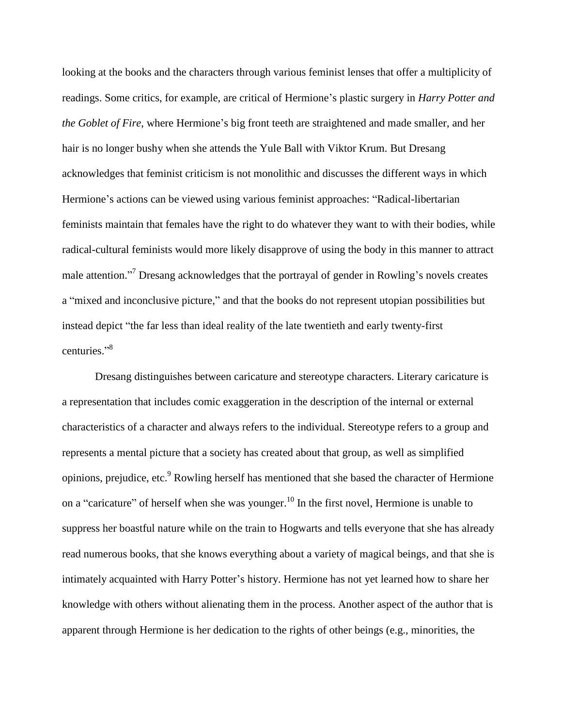looking at the books and the characters through various feminist lenses that offer a multiplicity of readings. Some critics, for example, are critical of Hermione's plastic surgery in *Harry Potter and the Goblet of Fire*, where Hermione's big front teeth are straightened and made smaller, and her hair is no longer bushy when she attends the Yule Ball with Viktor Krum. But Dresang acknowledges that feminist criticism is not monolithic and discusses the different ways in which Hermione's actions can be viewed using various feminist approaches: "Radical-libertarian feminists maintain that females have the right to do whatever they want to with their bodies, while radical-cultural feminists would more likely disapprove of using the body in this manner to attract male attention."<sup>7</sup> Dresang acknowledges that the portrayal of gender in Rowling's novels creates a "mixed and inconclusive picture," and that the books do not represent utopian possibilities but instead depict "the far less than ideal reality of the late twentieth and early twenty-first centuries." 8

Dresang distinguishes between caricature and stereotype characters. Literary caricature is a representation that includes comic exaggeration in the description of the internal or external characteristics of a character and always refers to the individual. Stereotype refers to a group and represents a mental picture that a society has created about that group, as well as simplified opinions, prejudice, etc.<sup>9</sup> Rowling herself has mentioned that she based the character of Hermione on a "caricature" of herself when she was younger.<sup>10</sup> In the first novel, Hermione is unable to suppress her boastful nature while on the train to Hogwarts and tells everyone that she has already read numerous books, that she knows everything about a variety of magical beings, and that she is intimately acquainted with Harry Potter's history. Hermione has not yet learned how to share her knowledge with others without alienating them in the process. Another aspect of the author that is apparent through Hermione is her dedication to the rights of other beings (e.g., minorities, the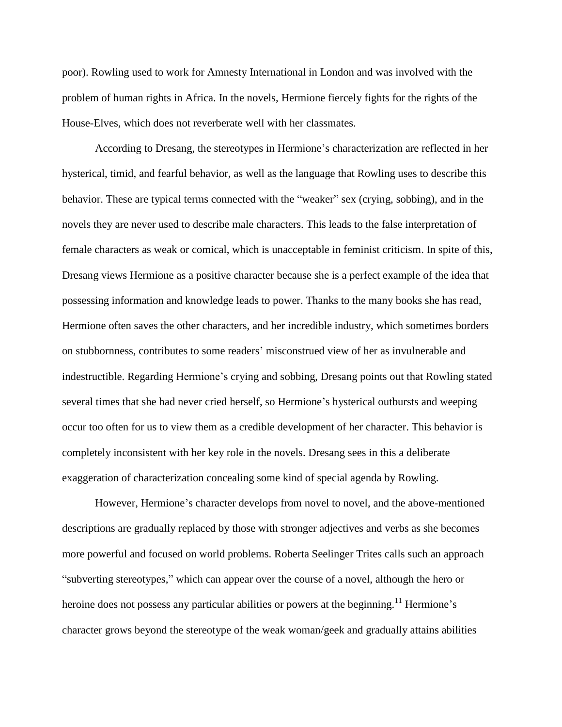poor). Rowling used to work for Amnesty International in London and was involved with the problem of human rights in Africa. In the novels, Hermione fiercely fights for the rights of the House-Elves, which does not reverberate well with her classmates.

According to Dresang, the stereotypes in Hermione's characterization are reflected in her hysterical, timid, and fearful behavior, as well as the language that Rowling uses to describe this behavior. These are typical terms connected with the "weaker" sex (crying, sobbing), and in the novels they are never used to describe male characters. This leads to the false interpretation of female characters as weak or comical, which is unacceptable in feminist criticism. In spite of this, Dresang views Hermione as a positive character because she is a perfect example of the idea that possessing information and knowledge leads to power. Thanks to the many books she has read, Hermione often saves the other characters, and her incredible industry, which sometimes borders on stubbornness, contributes to some readers' misconstrued view of her as invulnerable and indestructible. Regarding Hermione's crying and sobbing, Dresang points out that Rowling stated several times that she had never cried herself, so Hermione's hysterical outbursts and weeping occur too often for us to view them as a credible development of her character. This behavior is completely inconsistent with her key role in the novels. Dresang sees in this a deliberate exaggeration of characterization concealing some kind of special agenda by Rowling.

However, Hermione's character develops from novel to novel, and the above-mentioned descriptions are gradually replaced by those with stronger adjectives and verbs as she becomes more powerful and focused on world problems. Roberta Seelinger Trites calls such an approach "subverting stereotypes," which can appear over the course of a novel, although the hero or heroine does not possess any particular abilities or powers at the beginning.<sup>11</sup> Hermione's character grows beyond the stereotype of the weak woman/geek and gradually attains abilities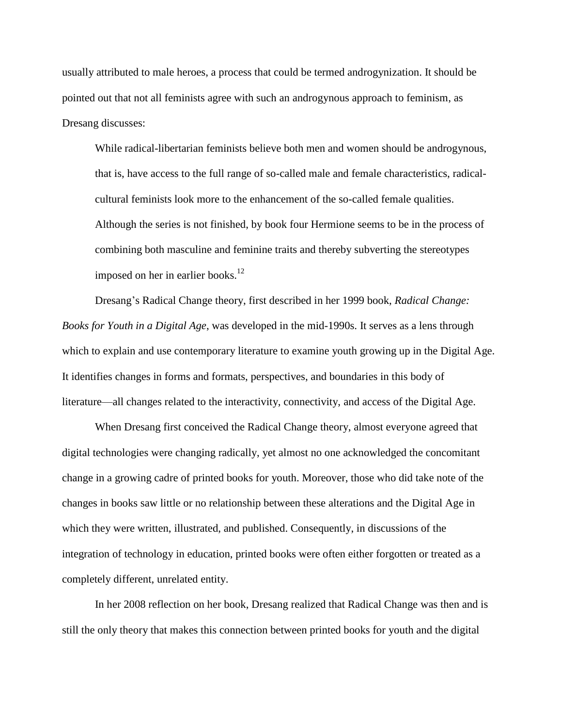usually attributed to male heroes, a process that could be termed androgynization. It should be pointed out that not all feminists agree with such an androgynous approach to feminism, as Dresang discusses:

While radical-libertarian feminists believe both men and women should be androgynous, that is, have access to the full range of so-called male and female characteristics, radicalcultural feminists look more to the enhancement of the so-called female qualities. Although the series is not finished, by book four Hermione seems to be in the process of combining both masculine and feminine traits and thereby subverting the stereotypes imposed on her in earlier books. $12$ 

Dresang's Radical Change theory, first described in her 1999 book, *Radical Change: Books for Youth in a Digital Age*, was developed in the mid-1990s. It serves as a lens through which to explain and use contemporary literature to examine youth growing up in the Digital Age. It identifies changes in forms and formats, perspectives, and boundaries in this body of literature—all changes related to the interactivity, connectivity, and access of the Digital Age.

When Dresang first conceived the Radical Change theory, almost everyone agreed that digital technologies were changing radically, yet almost no one acknowledged the concomitant change in a growing cadre of printed books for youth. Moreover, those who did take note of the changes in books saw little or no relationship between these alterations and the Digital Age in which they were written, illustrated, and published. Consequently, in discussions of the integration of technology in education, printed books were often either forgotten or treated as a completely different, unrelated entity.

In her 2008 reflection on her book, Dresang realized that Radical Change was then and is still the only theory that makes this connection between printed books for youth and the digital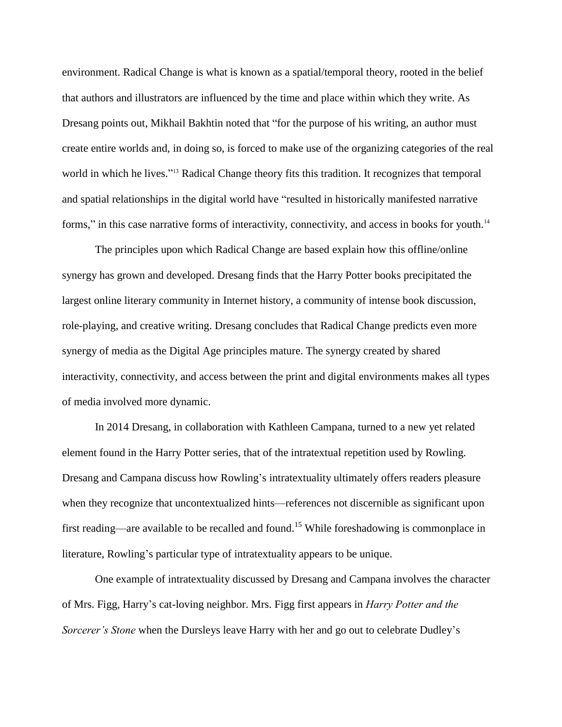environment. Radical Change is what is known as a spatial/temporal theory, rooted in the belief that authors and illustrators are influenced by the time and place within which they write. As Dresang points out, Mikhail Bakhtin noted that "for the purpose of his writing, an author must create entire worlds and, in doing so, is forced to make use of the organizing categories of the real world in which he lives."<sup>13</sup> Radical Change theory fits this tradition. It recognizes that temporal and spatial relationships in the digital world have "resulted in historically manifested narrative forms," in this case narrative forms of interactivity, connectivity, and access in books for youth.<sup>14</sup>

The principles upon which Radical Change are based explain how this offline/online synergy has grown and developed. Dresang finds that the Harry Potter books precipitated the largest online literary community in Internet history, a community of intense book discussion, role-playing, and creative writing. Dresang concludes that Radical Change predicts even more synergy of media as the Digital Age principles mature. The synergy created by shared interactivity, connectivity, and access between the print and digital environments makes all types of media involved more dynamic.

In 2014 Dresang, in collaboration with Kathleen Campana, turned to a new yet related element found in the Harry Potter series, that of the intratextual repetition used by Rowling. Dresang and Campana discuss how Rowling's intratextuality ultimately offers readers pleasure when they recognize that uncontextualized hints—references not discernible as significant upon first reading—are available to be recalled and found.<sup>15</sup> While foreshadowing is commonplace in literature, Rowling's particular type of intratextuality appears to be unique.

One example of intratextuality discussed by Dresang and Campana involves the character of Mrs. Figg, Harry's cat-loving neighbor. Mrs. Figg first appears in *Harry Potter and the Sorcerer's Stone* when the Dursleys leave Harry with her and go out to celebrate Dudley's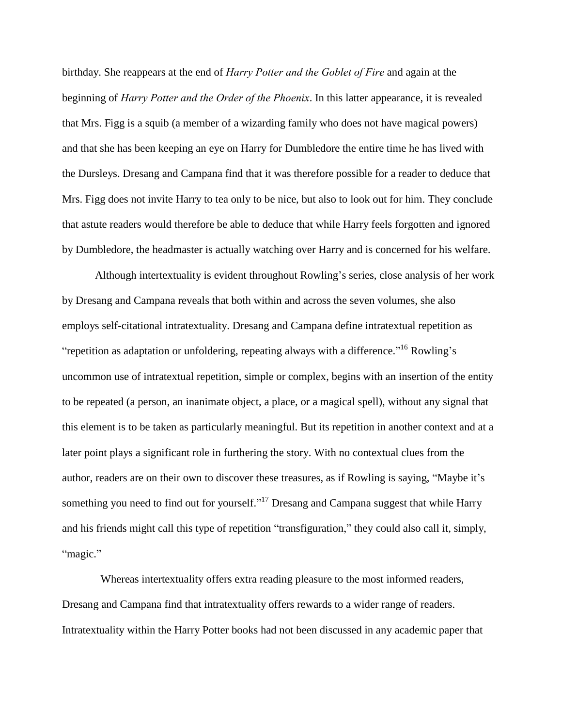birthday. She reappears at the end of *Harry Potter and the Goblet of Fire* and again at the beginning of *Harry Potter and the Order of the Phoenix*. In this latter appearance, it is revealed that Mrs. Figg is a squib (a member of a wizarding family who does not have magical powers) and that she has been keeping an eye on Harry for Dumbledore the entire time he has lived with the Dursleys. Dresang and Campana find that it was therefore possible for a reader to deduce that Mrs. Figg does not invite Harry to tea only to be nice, but also to look out for him. They conclude that astute readers would therefore be able to deduce that while Harry feels forgotten and ignored by Dumbledore, the headmaster is actually watching over Harry and is concerned for his welfare.

Although intertextuality is evident throughout Rowling's series, close analysis of her work by Dresang and Campana reveals that both within and across the seven volumes, she also employs self-citational intratextuality. Dresang and Campana define intratextual repetition as "repetition as adaptation or unfoldering, repeating always with a difference."<sup>16</sup> Rowling's uncommon use of intratextual repetition, simple or complex, begins with an insertion of the entity to be repeated (a person, an inanimate object, a place, or a magical spell), without any signal that this element is to be taken as particularly meaningful. But its repetition in another context and at a later point plays a significant role in furthering the story. With no contextual clues from the author, readers are on their own to discover these treasures, as if Rowling is saying, "Maybe it's something you need to find out for yourself."<sup>17</sup> Dresang and Campana suggest that while Harry and his friends might call this type of repetition "transfiguration," they could also call it, simply, "magic."

Whereas intertextuality offers extra reading pleasure to the most informed readers, Dresang and Campana find that intratextuality offers rewards to a wider range of readers. Intratextuality within the Harry Potter books had not been discussed in any academic paper that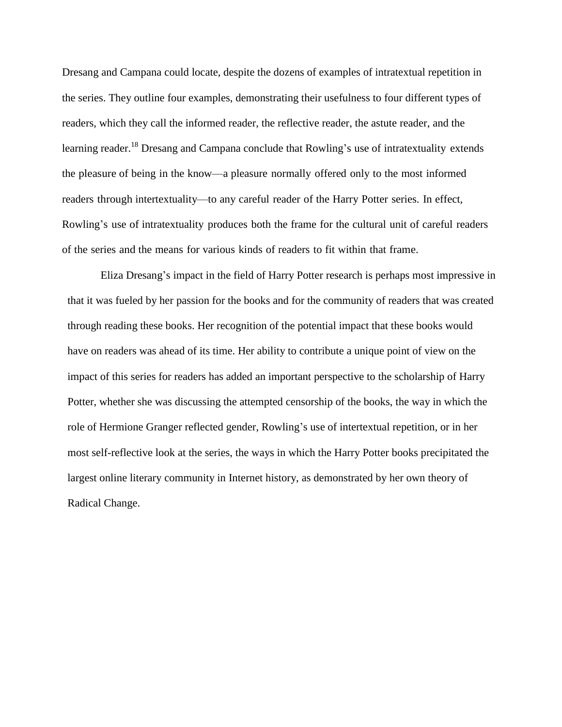Dresang and Campana could locate, despite the dozens of examples of intratextual repetition in the series. They outline four examples, demonstrating their usefulness to four different types of readers, which they call the informed reader, the reflective reader, the astute reader, and the learning reader.<sup>18</sup> Dresang and Campana conclude that Rowling's use of intratextuality extends the pleasure of being in the know—a pleasure normally offered only to the most informed readers through intertextuality—to any careful reader of the Harry Potter series. In effect, Rowling's use of intratextuality produces both the frame for the cultural unit of careful readers of the series and the means for various kinds of readers to fit within that frame.

Eliza Dresang's impact in the field of Harry Potter research is perhaps most impressive in that it was fueled by her passion for the books and for the community of readers that was created through reading these books. Her recognition of the potential impact that these books would have on readers was ahead of its time. Her ability to contribute a unique point of view on the impact of this series for readers has added an important perspective to the scholarship of Harry Potter, whether she was discussing the attempted censorship of the books, the way in which the role of Hermione Granger reflected gender, Rowling's use of intertextual repetition, or in her most self-reflective look at the series, the ways in which the Harry Potter books precipitated the largest online literary community in Internet history, as demonstrated by her own theory of Radical Change.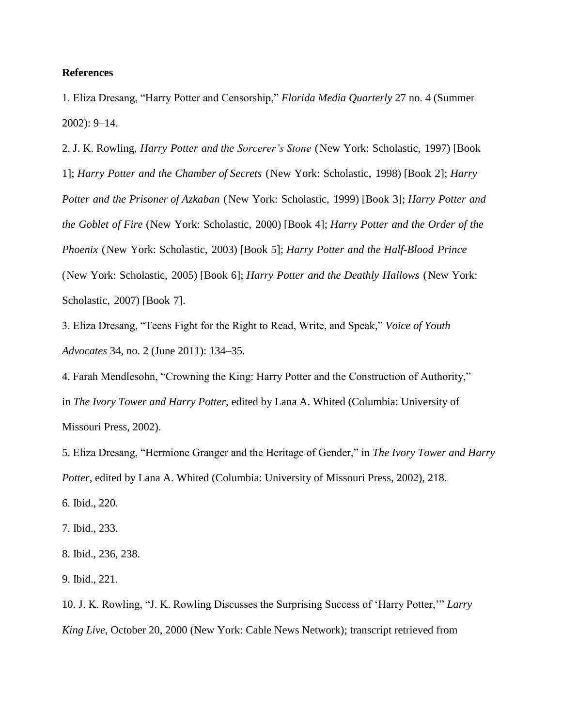## **References**

1. Eliza Dresang, "Harry Potter and Censorship," *Florida Media Quarterly* 27 no. 4 (Summer 2002): 9–14.

2. J. K. Rowling, *Harry Potter and the Sorcerer's Stone* (New York: Scholastic, 1997) [Book 1]; *Harry Potter and the Chamber of Secrets* (New York: Scholastic, 1998) [Book 2]; *Harry Potter and the Prisoner of Azkaban* (New York: Scholastic, 1999) [Book 3]; *Harry Potter and the Goblet of Fire* (New York: Scholastic, 2000) [Book 4]; *Harry Potter and the Order of the Phoenix* (New York: Scholastic, 2003) [Book 5]; *Harry Potter and the Half-Blood Prince* (New York: Scholastic, 2005) [Book 6]; *Harry Potter and the Deathly Hallows* (New York: Scholastic, 2007) [Book 7].

3. Eliza Dresang, "Teens Fight for the Right to Read, Write, and Speak," *Voice of Youth Advocates* 34, no. 2 (June 2011): 134–35*.*

4. Farah Mendlesohn, "Crowning the King: Harry Potter and the Construction of Authority," in *The Ivory Tower and Harry Potter*, edited by Lana A. Whited (Columbia: University of Missouri Press, 2002).

5. Eliza Dresang, "Hermione Granger and the Heritage of Gender," in *The Ivory Tower and Harry Potter*, edited by Lana A. Whited (Columbia: University of Missouri Press, 2002), 218.

6. Ibid., 220.

7. Ibid., 233.

8. Ibid., 236, 238.

9. Ibid., 221.

10. J. K. Rowling, "J. K. Rowling Discusses the Surprising Success of 'Harry Potter,'" *Larry King Live*, October 20, 2000 (New York: Cable News Network); transcript retrieved from